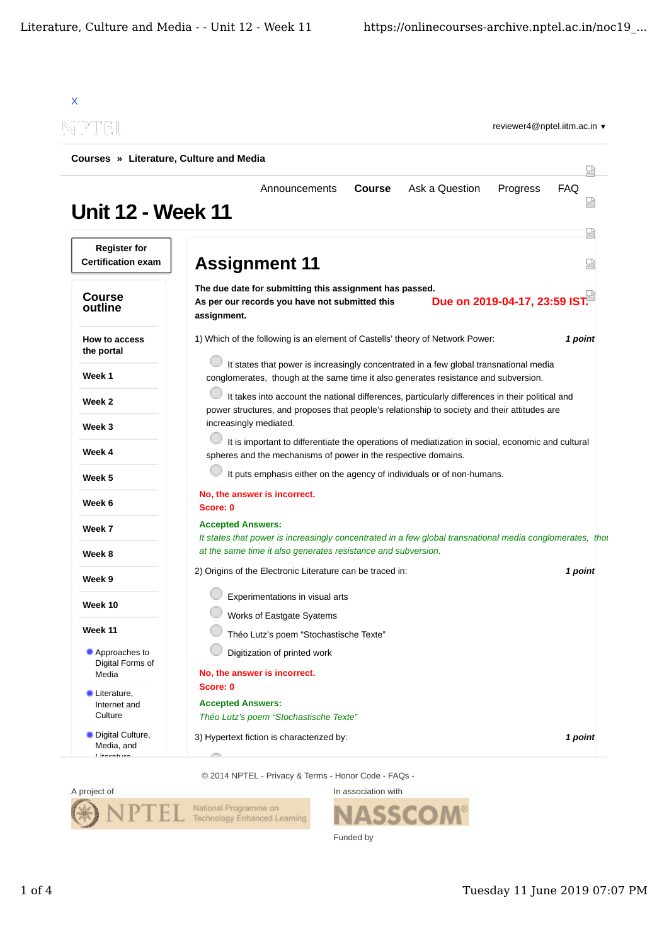| Courses » Literature, Culture and Media          |                                                                                                                                                                                                                                                                                                                                                                                                                                                                                                       |  |  |
|--------------------------------------------------|-------------------------------------------------------------------------------------------------------------------------------------------------------------------------------------------------------------------------------------------------------------------------------------------------------------------------------------------------------------------------------------------------------------------------------------------------------------------------------------------------------|--|--|
| <b>Unit 12 - Week 11</b>                         | Ask a Question<br>Announcements<br><b>Course</b><br>Progress<br><b>FAQ</b>                                                                                                                                                                                                                                                                                                                                                                                                                            |  |  |
| <b>Register for</b><br><b>Certification exam</b> | <b>Assignment 11</b>                                                                                                                                                                                                                                                                                                                                                                                                                                                                                  |  |  |
| <b>Course</b><br>outline                         | The due date for submitting this assignment has passed.<br>Due on 2019-04-17, 23:59 IST.<br>As per our records you have not submitted this<br>assignment.                                                                                                                                                                                                                                                                                                                                             |  |  |
| How to access<br>the portal                      | 1) Which of the following is an element of Castells' theory of Network Power:<br>1 point<br>It states that power is increasingly concentrated in a few global transnational media<br>conglomerates, though at the same time it also generates resistance and subversion.<br>It takes into account the national differences, particularly differences in their political and<br>power structures, and proposes that people's relationship to society and their attitudes are<br>increasingly mediated. |  |  |
| Week 1                                           |                                                                                                                                                                                                                                                                                                                                                                                                                                                                                                       |  |  |
| Week 2                                           |                                                                                                                                                                                                                                                                                                                                                                                                                                                                                                       |  |  |
| Week 3                                           |                                                                                                                                                                                                                                                                                                                                                                                                                                                                                                       |  |  |
| Week 4                                           | It is important to differentiate the operations of mediatization in social, economic and cultural<br>spheres and the mechanisms of power in the respective domains.                                                                                                                                                                                                                                                                                                                                   |  |  |
| Week 5                                           | It puts emphasis either on the agency of individuals or of non-humans.                                                                                                                                                                                                                                                                                                                                                                                                                                |  |  |
| Week 6                                           | No, the answer is incorrect.<br>Score: 0                                                                                                                                                                                                                                                                                                                                                                                                                                                              |  |  |
| Week 7                                           | <b>Accepted Answers:</b><br>It states that power is increasingly concentrated in a few global transnational media conglomerates, thor                                                                                                                                                                                                                                                                                                                                                                 |  |  |
| Week 8                                           | at the same time it also generates resistance and subversion.                                                                                                                                                                                                                                                                                                                                                                                                                                         |  |  |
| Week 9                                           | 2) Origins of the Electronic Literature can be traced in:<br>1 point                                                                                                                                                                                                                                                                                                                                                                                                                                  |  |  |
| Week 10                                          | Experimentations in visual arts                                                                                                                                                                                                                                                                                                                                                                                                                                                                       |  |  |
| <b>Week 11</b>                                   | Works of Eastgate Syatems<br>Théo Lutz's poem "Stochastische Texte"                                                                                                                                                                                                                                                                                                                                                                                                                                   |  |  |
| Approaches to<br>Digital Forms of                | Digitization of printed work                                                                                                                                                                                                                                                                                                                                                                                                                                                                          |  |  |
| Media                                            | No, the answer is incorrect.<br>Score: 0                                                                                                                                                                                                                                                                                                                                                                                                                                                              |  |  |
| Literature,<br>Internet and<br>Culture           | <b>Accepted Answers:</b><br>Théo Lutz's poem "Stochastische Texte"                                                                                                                                                                                                                                                                                                                                                                                                                                    |  |  |
| • Digital Culture,<br>Media, and<br>Litaratura   | 3) Hypertext fiction is characterized by:<br>1 point                                                                                                                                                                                                                                                                                                                                                                                                                                                  |  |  |

© 2014 NPTEL - Privacy & Terms - Honor Code - FAQs -



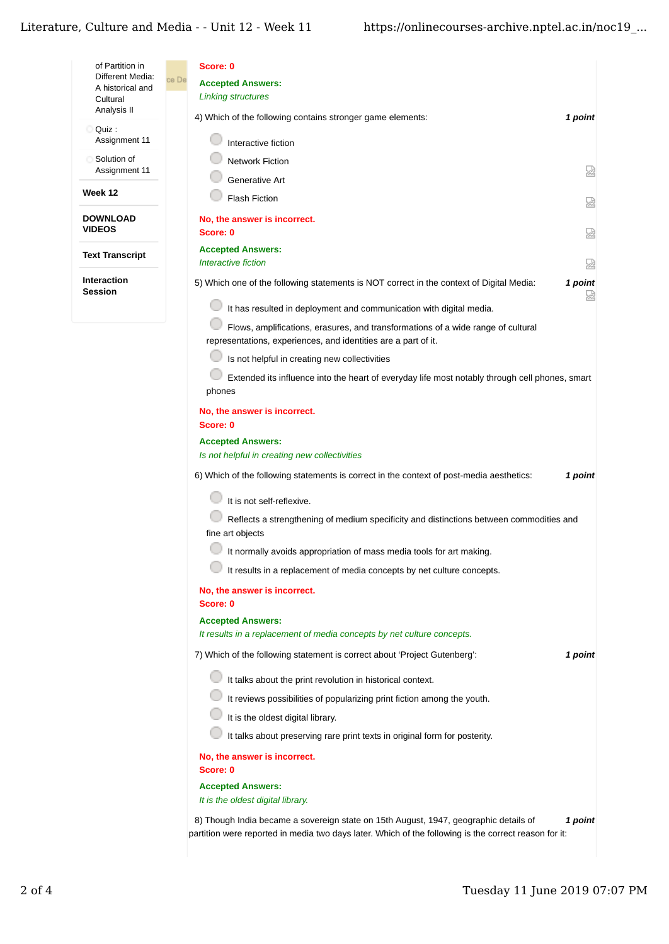| of Partition in<br>Different Media:<br>A historical and<br>Cultural | Score: 0<br>ce De<br><b>Accepted Answers:</b><br><b>Linking structures</b>                                                                                                                               |  |
|---------------------------------------------------------------------|----------------------------------------------------------------------------------------------------------------------------------------------------------------------------------------------------------|--|
| Analysis II                                                         | 4) Which of the following contains stronger game elements:<br>1 point                                                                                                                                    |  |
| Quiz :<br>Assignment 11                                             | Interactive fiction                                                                                                                                                                                      |  |
| Solution of<br>Assignment 11                                        | <b>Network Fiction</b><br>썮                                                                                                                                                                              |  |
| Week 12                                                             | Generative Art                                                                                                                                                                                           |  |
|                                                                     | <b>Flash Fiction</b><br>요                                                                                                                                                                                |  |
| <b>DOWNLOAD</b><br><b>VIDEOS</b>                                    | No, the answer is incorrect.<br>닯<br>Score: 0                                                                                                                                                            |  |
| <b>Text Transcript</b>                                              | <b>Accepted Answers:</b>                                                                                                                                                                                 |  |
| <b>Interaction</b>                                                  | Interactive fiction<br>썮                                                                                                                                                                                 |  |
| <b>Session</b>                                                      | 5) Which one of the following statements is NOT correct in the context of Digital Media:<br>1 point<br>눮                                                                                                 |  |
|                                                                     | It has resulted in deployment and communication with digital media.                                                                                                                                      |  |
|                                                                     | Flows, amplifications, erasures, and transformations of a wide range of cultural<br>representations, experiences, and identities are a part of it.                                                       |  |
|                                                                     | Is not helpful in creating new collectivities                                                                                                                                                            |  |
|                                                                     | Extended its influence into the heart of everyday life most notably through cell phones, smart<br>phones                                                                                                 |  |
|                                                                     | No, the answer is incorrect.<br>Score: 0                                                                                                                                                                 |  |
|                                                                     | <b>Accepted Answers:</b><br>Is not helpful in creating new collectivities                                                                                                                                |  |
|                                                                     | 6) Which of the following statements is correct in the context of post-media aesthetics:<br>1 point                                                                                                      |  |
|                                                                     | It is not self-reflexive.                                                                                                                                                                                |  |
|                                                                     | Reflects a strengthening of medium specificity and distinctions between commodities and<br>fine art objects                                                                                              |  |
|                                                                     | It normally avoids appropriation of mass media tools for art making.                                                                                                                                     |  |
|                                                                     | It results in a replacement of media concepts by net culture concepts.                                                                                                                                   |  |
|                                                                     | No, the answer is incorrect.<br>Score: 0                                                                                                                                                                 |  |
|                                                                     | <b>Accepted Answers:</b>                                                                                                                                                                                 |  |
|                                                                     | It results in a replacement of media concepts by net culture concepts.<br>1 point<br>7) Which of the following statement is correct about 'Project Gutenberg':                                           |  |
|                                                                     |                                                                                                                                                                                                          |  |
|                                                                     | It talks about the print revolution in historical context.                                                                                                                                               |  |
|                                                                     | It reviews possibilities of popularizing print fiction among the youth.<br>It is the oldest digital library.                                                                                             |  |
|                                                                     | It talks about preserving rare print texts in original form for posterity.                                                                                                                               |  |
|                                                                     | No, the answer is incorrect.                                                                                                                                                                             |  |
|                                                                     | Score: 0                                                                                                                                                                                                 |  |
|                                                                     | <b>Accepted Answers:</b><br>It is the oldest digital library.                                                                                                                                            |  |
|                                                                     | 8) Though India became a sovereign state on 15th August, 1947, geographic details of<br>1 point<br>partition were reported in media two days later. Which of the following is the correct reason for it: |  |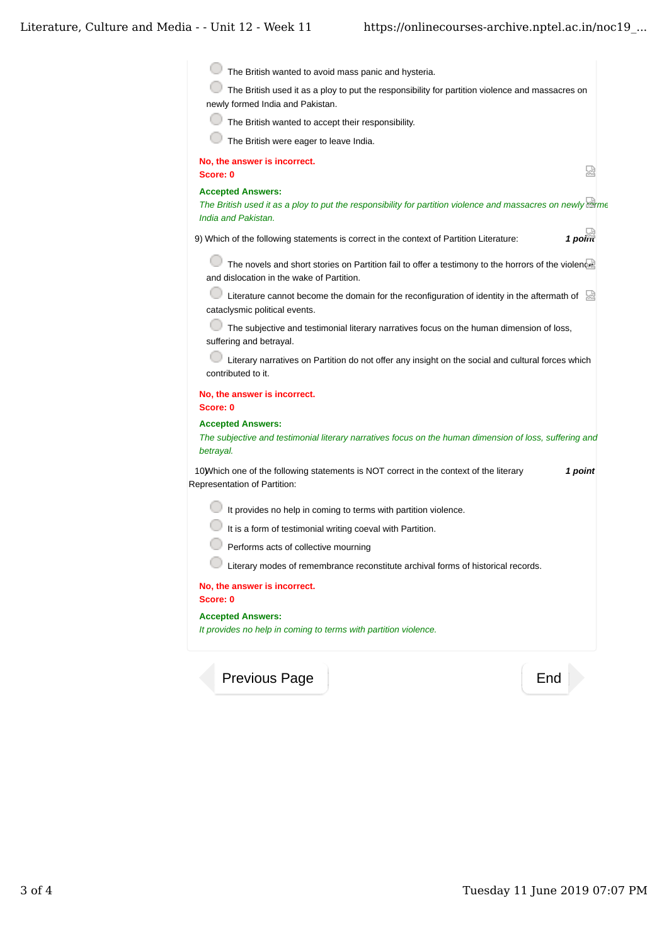